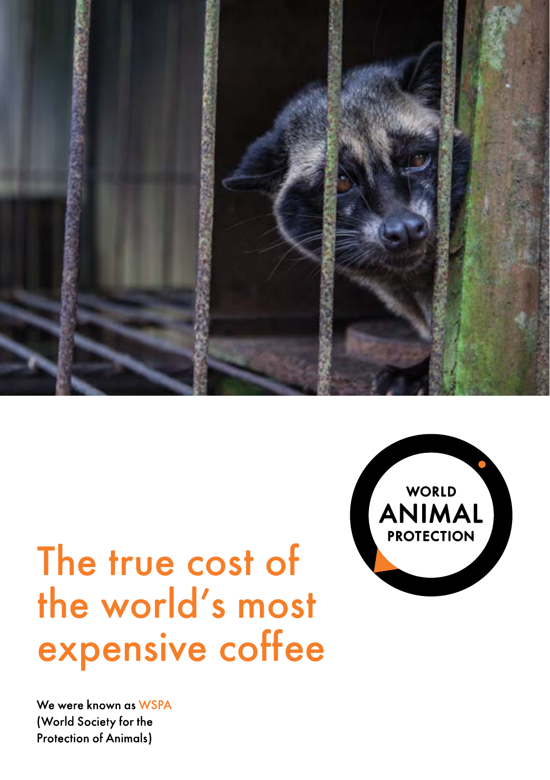

# The true cost of the world's most expensive coffee

We were known as WSPA (World Society for the **Protection of Animals)** 

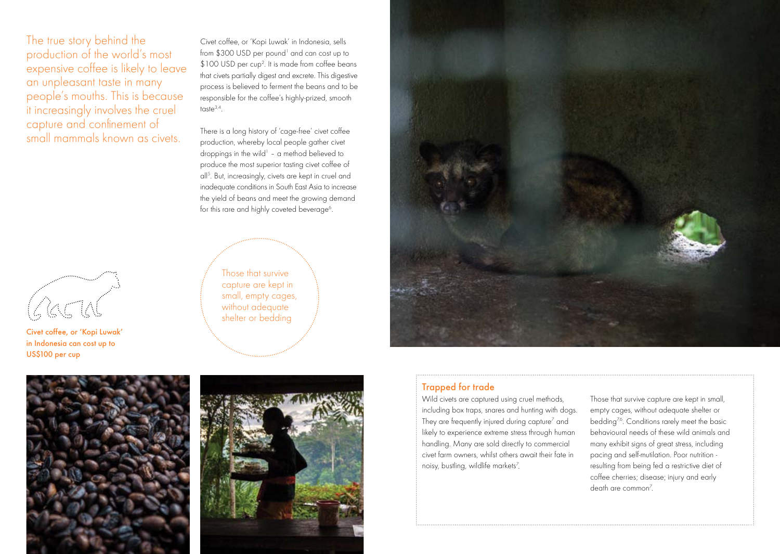The true story behind the production of the world's most expensive coffee is likely to leave an unpleasant taste in many people's mouths. This is because it increasingly involves the cruel capture and confinement of small mammals known as civets.

Civet coffee, or 'Kopi Luwak' in Indonesia, sells from \$300 USD per pound<sup>1</sup> and can cost up to \$100 USD per cup<sup>2</sup>. It is made from coffee beans that civets partially digest and excrete. This digestive process is believed to ferment the beans and to be responsible for the coffee's highly-prized, smooth taste $3,4$ .

There is a long history of 'cage-free' civet coffee production, whereby local people gather civet droppings in the wild<sup>1</sup> - a method believed to produce the most superior tasting civet coffee of all5 . But, increasingly, civets are kept in cruel and inadequate conditions in South East Asia to increase the yield of beans and meet the growing demand for this rare and highly coveted beverage<sup>6</sup>.

> Those that survive capture are kept in small, empty cages, without adequate shelter or bedding



# Trapped for trade

Wild civets are captured using cruel methods, including box traps, snares and hunting with dogs. They are frequently injured during capture<sup>7</sup> and likely to experience extreme stress through human handling. Many are sold directly to commercial civet farm owners, whilst others await their fate in noisy, bustling, wildlife markets<sup>7</sup>.

Those that survive capture are kept in small, empty cages, without adequate shelter or bedding<sup>7,6</sup>. Conditions rarely meet the basic behavioural needs of these wild animals and many exhibit signs of great stress, including pacing and self-mutilation. Poor nutrition resulting from being fed a restrictive diet of coffee cherries; disease; injury and early death are common<sup>7</sup>.

3



Civet coffee, or 'Kopi Luwak' in Indonesia can cost up to US\$100 per cup



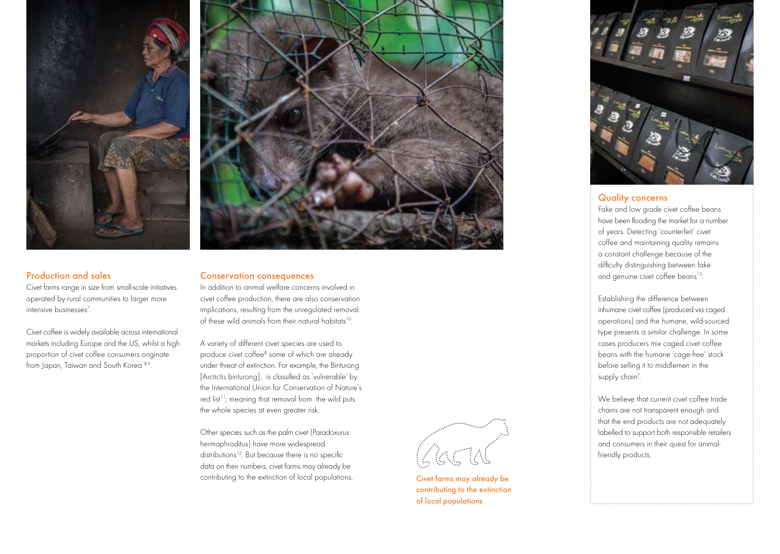



## Production and sales

Civet farms range in size from small-scale initiatives operated by rural communities to larger more intensive businesses7 .

Civet coffee is widely available across international markets including Europe and the US, whilst a high proportion of civet coffee consumers originate from Japan, Taiwan and South Korea 8,9.

## Conservation consequences

In addition to animal welfare concerns involved in civet coffee production, there are also conservation implications, resulting from the unregulated removal of these wild animals from their natural habitats10.

A variety of different civet species are used to produce civet coffee<sup>8</sup> some of which are already under threat of extinction. For example, the Binturong [Arctictis binturong], is classified as 'vulnerable' by the International Union for Conservation of Nature's red list<sup>11</sup>; meaning that removal from the wild puts the whole species at even greater risk.

Other species such as the palm civet (Paradoxurus hermaphroditus) have more widespread distributions<sup>12</sup>. But because there is no specific data on their numbers, civet farms may already be contributing to the extinction of local populations.



Civet farms may already be contributing to the extinction of local populations



#### Quality concerns

Fake and low grade civet coffee beans have been flooding the market for a number of years. Detecting 'counterfeit' civet coffee and maintaining quality remains a constant challenge because of the difficulty distinguishing between fake and genuine civet coffee beans<sup>13</sup>.

Establishing the difference between inhumane civet coffee (produced via caged operations) and the humane, wild-sourced type presents a similar challenge. In some cases producers mix caged civet coffee beans with the humane 'cage-free' stock before selling it to middlemen in the supply chain<sup>7</sup>.

We believe that current civet coffee trade chains are not transparent enough and that the end products are not adequately labelled to support both responsible retailers and consumers in their quest for animalfriendly products.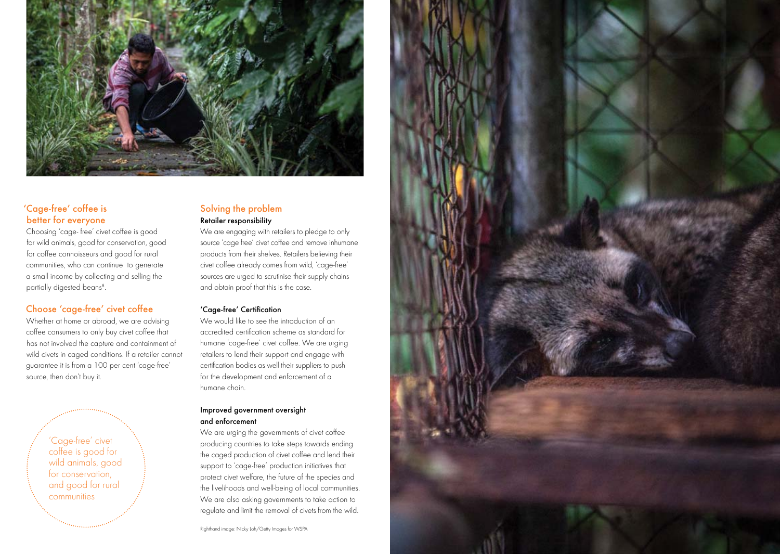

# 'Cage-free' coffee is better for everyone

Choosing 'cage- free' civet coffee is good for wild animals, good for conservation, good for coffee connoisseurs and good for rural communities, who can continue to generate a small income by collecting and selling the partially digested beans<sup>8</sup>.

# Choose 'cage-free' civet coffee

Whether at home or abroad, we are advising coffee consumers to only buy civet coffee that has not involved the capture and containment of wild civets in caged conditions. If a retailer cannot guarantee it is from a 100 per cent 'cage-free' source, then don't buy it.

> 'Cage-free' civet coffee is good for wild animals, good for conservation and good for rural communities

# Solving the problem Retailer responsibility

We are engaging with retailers to pledge to only source 'cage free' civet coffee and remove inhumane products from their shelves. Retailers believing their civet coffee already comes from wild, 'cage-free' sources are urged to scrutinise their supply chains and obtain proof that this is the case.

# 'Cage-free' Certification

We would like to see the introduction of an accredited certification scheme as standard for humane 'cage-free' civet coffee. We are urging retailers to lend their support and engage with certification bodies as well their suppliers to push for the development and enforcement of a humane chain.

## Improved government oversight and enforcement

We are urging the governments of civet coffee producing countries to take steps towards ending the caged production of civet coffee and lend their support to 'cage-free' production initiatives that protect civet welfare, the future of the species and the livelihoods and well-being of local communities. We are also asking governments to take action to regulate and limit the removal of civets from the wild.

Righthand image: Nicky Loh/Getty Images for WSPA